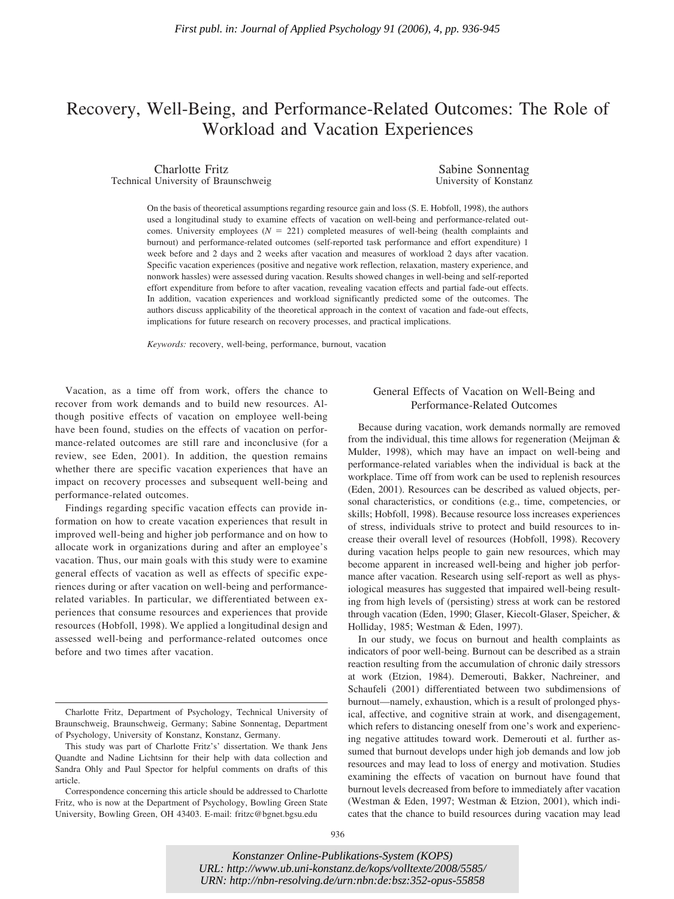# Recovery, Well-Being, and Performance-Related Outcomes: The Role of Workload and Vacation Experiences

Charlotte Fritz Technical University of Braunschweig

Sabine Sonnentag University of Konstanz

On the basis of theoretical assumptions regarding resource gain and loss (S. E. Hobfoll, 1998), the authors used a longitudinal study to examine effects of vacation on well-being and performance-related outcomes. University employees  $(N = 221)$  completed measures of well-being (health complaints and burnout) and performance-related outcomes (self-reported task performance and effort expenditure) 1 week before and 2 days and 2 weeks after vacation and measures of workload 2 days after vacation. Specific vacation experiences (positive and negative work reflection, relaxation, mastery experience, and nonwork hassles) were assessed during vacation. Results showed changes in well-being and self-reported effort expenditure from before to after vacation, revealing vacation effects and partial fade-out effects. In addition, vacation experiences and workload significantly predicted some of the outcomes. The authors discuss applicability of the theoretical approach in the context of vacation and fade-out effects, implications for future research on recovery processes, and practical implications.

*Keywords:* recovery, well-being, performance, burnout, vacation

Vacation, as a time off from work, offers the chance to recover from work demands and to build new resources. Although positive effects of vacation on employee well-being have been found, studies on the effects of vacation on performance-related outcomes are still rare and inconclusive (for a review, see Eden, 2001). In addition, the question remains whether there are specific vacation experiences that have an impact on recovery processes and subsequent well-being and performance-related outcomes.

Findings regarding specific vacation effects can provide information on how to create vacation experiences that result in improved well-being and higher job performance and on how to allocate work in organizations during and after an employee's vacation. Thus, our main goals with this study were to examine general effects of vacation as well as effects of specific experiences during or after vacation on well-being and performancerelated variables. In particular, we differentiated between experiences that consume resources and experiences that provide resources (Hobfoll, 1998). We applied a longitudinal design and assessed well-being and performance-related outcomes once before and two times after vacation.

# General Effects of Vacation on Well-Being and Performance-Related Outcomes

Because during vacation, work demands normally are removed from the individual, this time allows for regeneration (Meijman & Mulder, 1998), which may have an impact on well-being and performance-related variables when the individual is back at the workplace. Time off from work can be used to replenish resources (Eden, 2001). Resources can be described as valued objects, personal characteristics, or conditions (e.g., time, competencies, or skills; Hobfoll, 1998). Because resource loss increases experiences of stress, individuals strive to protect and build resources to increase their overall level of resources (Hobfoll, 1998). Recovery during vacation helps people to gain new resources, which may become apparent in increased well-being and higher job performance after vacation. Research using self-report as well as physiological measures has suggested that impaired well-being resulting from high levels of (persisting) stress at work can be restored through vacation (Eden, 1990; Glaser, Kiecolt-Glaser, Speicher, & Holliday, 1985; Westman & Eden, 1997).

In our study, we focus on burnout and health complaints as indicators of poor well-being. Burnout can be described as a strain reaction resulting from the accumulation of chronic daily stressors at work (Etzion, 1984). Demerouti, Bakker, Nachreiner, and Schaufeli (2001) differentiated between two subdimensions of burnout—namely, exhaustion, which is a result of prolonged physical, affective, and cognitive strain at work, and disengagement, which refers to distancing oneself from one's work and experiencing negative attitudes toward work. Demerouti et al. further assumed that burnout develops under high job demands and low job resources and may lead to loss of energy and motivation. Studies examining the effects of vacation on burnout have found that burnout levels decreased from before to immediately after vacation (Westman & Eden, 1997; Westman & Etzion, 2001), which indicates that the chance to build resources during vacation may lead

*Konstanzer Online-Publikations-System (KOPS) URL:<http://www.ub.uni-konstanz.de/kops/volltexte/2008/5585/> URN:<http://nbn-resolving.de/urn:nbn:de:bsz:352-opus-55858>*

Charlotte Fritz, Department of Psychology, Technical University of Braunschweig, Braunschweig, Germany; Sabine Sonnentag, Department of Psychology, University of Konstanz, Konstanz, Germany.

This study was part of Charlotte Fritz's' dissertation. We thank Jens Quandte and Nadine Lichtsinn for their help with data collection and Sandra Ohly and Paul Spector for helpful comments on drafts of this article.

Correspondence concerning this article should be addressed to Charlotte Fritz, who is now at the Department of Psychology, Bowling Green State University, Bowling Green, OH 43403. E-mail: fritzc@bgnet.bgsu.edu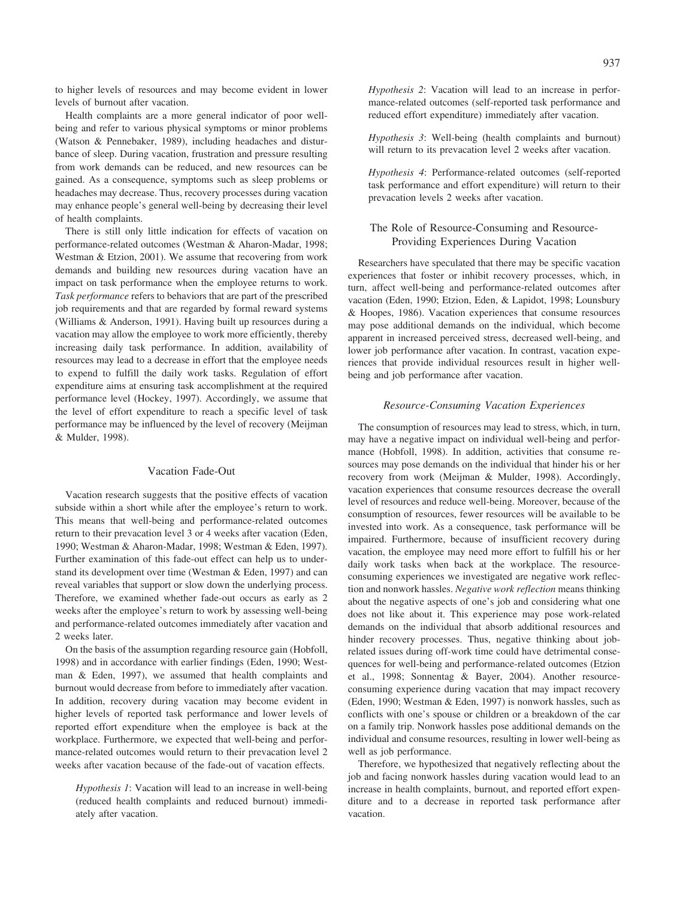to higher levels of resources and may become evident in lower levels of burnout after vacation.

Health complaints are a more general indicator of poor wellbeing and refer to various physical symptoms or minor problems (Watson & Pennebaker, 1989), including headaches and disturbance of sleep. During vacation, frustration and pressure resulting from work demands can be reduced, and new resources can be gained. As a consequence, symptoms such as sleep problems or headaches may decrease. Thus, recovery processes during vacation may enhance people's general well-being by decreasing their level of health complaints.

There is still only little indication for effects of vacation on performance-related outcomes (Westman & Aharon-Madar, 1998; Westman & Etzion, 2001). We assume that recovering from work demands and building new resources during vacation have an impact on task performance when the employee returns to work. *Task performance* refers to behaviors that are part of the prescribed job requirements and that are regarded by formal reward systems (Williams & Anderson, 1991). Having built up resources during a vacation may allow the employee to work more efficiently, thereby increasing daily task performance. In addition, availability of resources may lead to a decrease in effort that the employee needs to expend to fulfill the daily work tasks. Regulation of effort expenditure aims at ensuring task accomplishment at the required performance level (Hockey, 1997). Accordingly, we assume that the level of effort expenditure to reach a specific level of task performance may be influenced by the level of recovery (Meijman & Mulder, 1998).

## Vacation Fade-Out

Vacation research suggests that the positive effects of vacation subside within a short while after the employee's return to work. This means that well-being and performance-related outcomes return to their prevacation level 3 or 4 weeks after vacation (Eden, 1990; Westman & Aharon-Madar, 1998; Westman & Eden, 1997). Further examination of this fade-out effect can help us to understand its development over time (Westman & Eden, 1997) and can reveal variables that support or slow down the underlying process. Therefore, we examined whether fade-out occurs as early as 2 weeks after the employee's return to work by assessing well-being and performance-related outcomes immediately after vacation and 2 weeks later.

On the basis of the assumption regarding resource gain (Hobfoll, 1998) and in accordance with earlier findings (Eden, 1990; Westman & Eden, 1997), we assumed that health complaints and burnout would decrease from before to immediately after vacation. In addition, recovery during vacation may become evident in higher levels of reported task performance and lower levels of reported effort expenditure when the employee is back at the workplace. Furthermore, we expected that well-being and performance-related outcomes would return to their prevacation level 2 weeks after vacation because of the fade-out of vacation effects.

*Hypothesis 1*: Vacation will lead to an increase in well-being (reduced health complaints and reduced burnout) immediately after vacation.

*Hypothesis 2*: Vacation will lead to an increase in performance-related outcomes (self-reported task performance and reduced effort expenditure) immediately after vacation.

*Hypothesis 3*: Well-being (health complaints and burnout) will return to its prevacation level 2 weeks after vacation.

*Hypothesis 4*: Performance-related outcomes (self-reported task performance and effort expenditure) will return to their prevacation levels 2 weeks after vacation.

# The Role of Resource-Consuming and Resource-Providing Experiences During Vacation

Researchers have speculated that there may be specific vacation experiences that foster or inhibit recovery processes, which, in turn, affect well-being and performance-related outcomes after vacation (Eden, 1990; Etzion, Eden, & Lapidot, 1998; Lounsbury & Hoopes, 1986). Vacation experiences that consume resources may pose additional demands on the individual, which become apparent in increased perceived stress, decreased well-being, and lower job performance after vacation. In contrast, vacation experiences that provide individual resources result in higher wellbeing and job performance after vacation.

# *Resource-Consuming Vacation Experiences*

The consumption of resources may lead to stress, which, in turn, may have a negative impact on individual well-being and performance (Hobfoll, 1998). In addition, activities that consume resources may pose demands on the individual that hinder his or her recovery from work (Meijman & Mulder, 1998). Accordingly, vacation experiences that consume resources decrease the overall level of resources and reduce well-being. Moreover, because of the consumption of resources, fewer resources will be available to be invested into work. As a consequence, task performance will be impaired. Furthermore, because of insufficient recovery during vacation, the employee may need more effort to fulfill his or her daily work tasks when back at the workplace. The resourceconsuming experiences we investigated are negative work reflection and nonwork hassles. *Negative work reflection* means thinking about the negative aspects of one's job and considering what one does not like about it. This experience may pose work-related demands on the individual that absorb additional resources and hinder recovery processes. Thus, negative thinking about jobrelated issues during off-work time could have detrimental consequences for well-being and performance-related outcomes (Etzion et al., 1998; Sonnentag & Bayer, 2004). Another resourceconsuming experience during vacation that may impact recovery (Eden, 1990; Westman & Eden, 1997) is nonwork hassles, such as conflicts with one's spouse or children or a breakdown of the car on a family trip. Nonwork hassles pose additional demands on the individual and consume resources, resulting in lower well-being as well as job performance.

Therefore, we hypothesized that negatively reflecting about the job and facing nonwork hassles during vacation would lead to an increase in health complaints, burnout, and reported effort expenditure and to a decrease in reported task performance after vacation.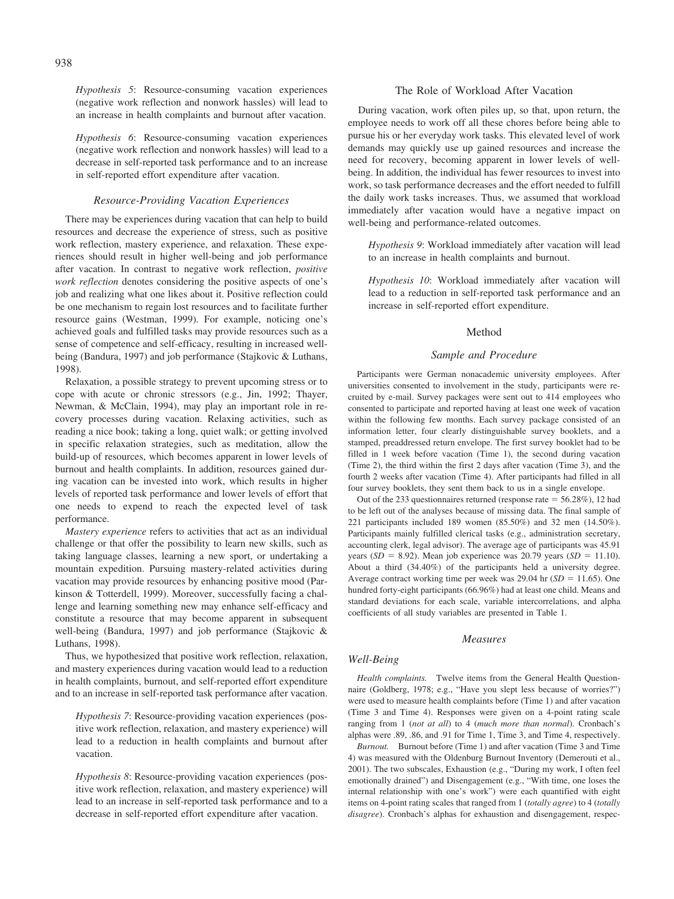*Hypothesis 5*: Resource-consuming vacation experiences (negative work reflection and nonwork hassles) will lead to an increase in health complaints and burnout after vacation.

*Hypothesis 6*: Resource-consuming vacation experiences (negative work reflection and nonwork hassles) will lead to a decrease in self-reported task performance and to an increase in self-reported effort expenditure after vacation.

# *Resource-Providing Vacation Experiences*

There may be experiences during vacation that can help to build resources and decrease the experience of stress, such as positive work reflection, mastery experience, and relaxation. These experiences should result in higher well-being and job performance after vacation. In contrast to negative work reflection, *positive work reflection* denotes considering the positive aspects of one's job and realizing what one likes about it. Positive reflection could be one mechanism to regain lost resources and to facilitate further resource gains (Westman, 1999). For example, noticing one's achieved goals and fulfilled tasks may provide resources such as a sense of competence and self-efficacy, resulting in increased wellbeing (Bandura, 1997) and job performance (Stajkovic & Luthans, 1998).

Relaxation, a possible strategy to prevent upcoming stress or to cope with acute or chronic stressors (e.g., Jin, 1992; Thayer, Newman, & McClain, 1994), may play an important role in recovery processes during vacation. Relaxing activities, such as reading a nice book; taking a long, quiet walk; or getting involved in specific relaxation strategies, such as meditation, allow the build-up of resources, which becomes apparent in lower levels of burnout and health complaints. In addition, resources gained during vacation can be invested into work, which results in higher levels of reported task performance and lower levels of effort that one needs to expend to reach the expected level of task performance.

*Mastery experience* refers to activities that act as an individual challenge or that offer the possibility to learn new skills, such as taking language classes, learning a new sport, or undertaking a mountain expedition. Pursuing mastery-related activities during vacation may provide resources by enhancing positive mood (Parkinson & Totterdell, 1999). Moreover, successfully facing a challenge and learning something new may enhance self-efficacy and constitute a resource that may become apparent in subsequent well-being (Bandura, 1997) and job performance (Stajkovic & Luthans, 1998).

Thus, we hypothesized that positive work reflection, relaxation, and mastery experiences during vacation would lead to a reduction in health complaints, burnout, and self-reported effort expenditure and to an increase in self-reported task performance after vacation.

*Hypothesis 7*: Resource-providing vacation experiences (positive work reflection, relaxation, and mastery experience) will lead to a reduction in health complaints and burnout after vacation.

*Hypothesis 8*: Resource-providing vacation experiences (positive work reflection, relaxation, and mastery experience) will lead to an increase in self-reported task performance and to a decrease in self-reported effort expenditure after vacation.

# The Role of Workload After Vacation

During vacation, work often piles up, so that, upon return, the employee needs to work off all these chores before being able to pursue his or her everyday work tasks. This elevated level of work demands may quickly use up gained resources and increase the need for recovery, becoming apparent in lower levels of wellbeing. In addition, the individual has fewer resources to invest into work, so task performance decreases and the effort needed to fulfill the daily work tasks increases. Thus, we assumed that workload immediately after vacation would have a negative impact on well-being and performance-related outcomes.

*Hypothesis 9*: Workload immediately after vacation will lead to an increase in health complaints and burnout.

*Hypothesis 10*: Workload immediately after vacation will lead to a reduction in self-reported task performance and an increase in self-reported effort expenditure.

## Method

# *Sample and Procedure*

Participants were German nonacademic university employees. After universities consented to involvement in the study, participants were recruited by e-mail. Survey packages were sent out to 414 employees who consented to participate and reported having at least one week of vacation within the following few months. Each survey package consisted of an information letter, four clearly distinguishable survey booklets, and a stamped, preaddressed return envelope. The first survey booklet had to be filled in 1 week before vacation (Time 1), the second during vacation (Time 2), the third within the first 2 days after vacation (Time 3), and the fourth 2 weeks after vacation (Time 4). After participants had filled in all four survey booklets, they sent them back to us in a single envelope.

Out of the 233 questionnaires returned (response rate  $=$  56.28%), 12 had to be left out of the analyses because of missing data. The final sample of 221 participants included 189 women (85.50%) and 32 men (14.50%). Participants mainly fulfilled clerical tasks (e.g., administration secretary, accounting clerk, legal advisor). The average age of participants was 45.91 years ( $SD = 8.92$ ). Mean job experience was 20.79 years ( $SD = 11.10$ ). About a third (34.40%) of the participants held a university degree. Average contract working time per week was 29.04 hr  $(SD = 11.65)$ . One hundred forty-eight participants (66.96%) had at least one child. Means and standard deviations for each scale, variable intercorrelations, and alpha coefficients of all study variables are presented in Table 1.

#### *Measures*

#### *Well-Being*

*Health complaints.* Twelve items from the General Health Questionnaire (Goldberg, 1978; e.g., "Have you slept less because of worries?") were used to measure health complaints before (Time 1) and after vacation (Time 3 and Time 4). Responses were given on a 4-point rating scale ranging from 1 (*not at all*) to 4 (*much more than normal*). Cronbach's alphas were .89, .86, and .91 for Time 1, Time 3, and Time 4, respectively.

*Burnout.* Burnout before (Time 1) and after vacation (Time 3 and Time 4) was measured with the Oldenburg Burnout Inventory (Demerouti et al., 2001). The two subscales, Exhaustion (e.g., "During my work, I often feel emotionally drained") and Disengagement (e.g., "With time, one loses the internal relationship with one's work") were each quantified with eight items on 4-point rating scales that ranged from 1 (*totally agree*) to 4 (*totally disagree*). Cronbach's alphas for exhaustion and disengagement, respec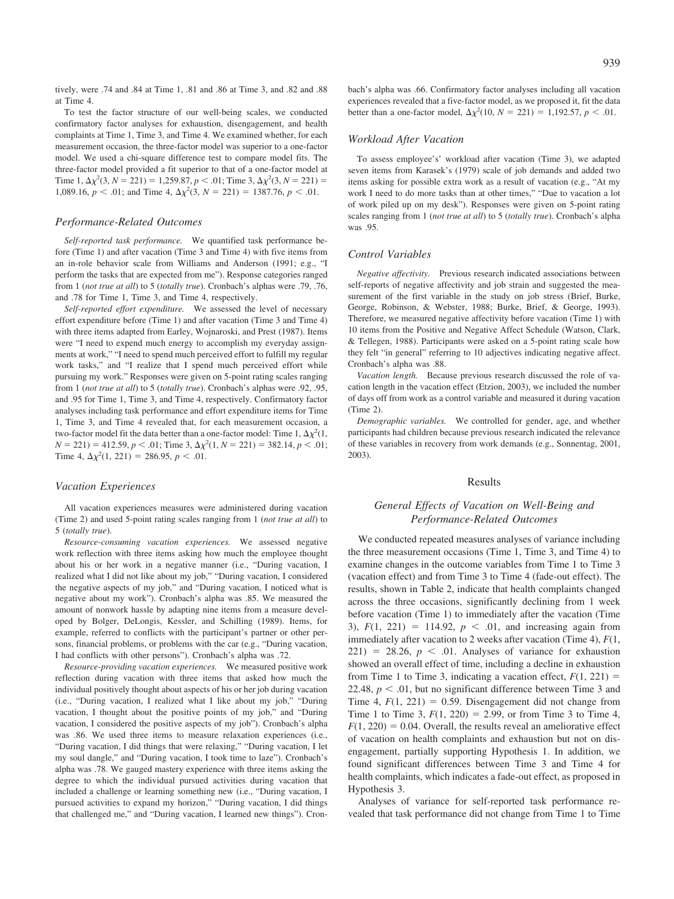tively, were .74 and .84 at Time 1, .81 and .86 at Time 3, and .82 and .88 at Time 4.

To test the factor structure of our well-being scales, we conducted confirmatory factor analyses for exhaustion, disengagement, and health complaints at Time 1, Time 3, and Time 4. We examined whether, for each measurement occasion, the three-factor model was superior to a one-factor model. We used a chi-square difference test to compare model fits. The three-factor model provided a fit superior to that of a one-factor model at Time 1,  $\Delta \chi^2(3, N = 221) = 1,259.87, p < .01$ ; Time 3,  $\Delta \chi^2(3, N = 221) =$ 1,089.16,  $p < .01$ ; and Time 4,  $\Delta \chi^2(3, N = 221) = 1387.76$ ,  $p < .01$ .

#### *Performance-Related Outcomes*

*Self-reported task performance.* We quantified task performance before (Time 1) and after vacation (Time 3 and Time 4) with five items from an in-role behavior scale from Williams and Anderson (1991; e.g., "I perform the tasks that are expected from me"). Response categories ranged from 1 (*not true at all*) to 5 (*totally true*). Cronbach's alphas were .79, .76, and .78 for Time 1, Time 3, and Time 4, respectively.

*Self-reported effort expenditure.* We assessed the level of necessary effort expenditure before (Time 1) and after vacation (Time 3 and Time 4) with three items adapted from Earley, Wojnaroski, and Prest (1987). Items were "I need to expend much energy to accomplish my everyday assignments at work," "I need to spend much perceived effort to fulfill my regular work tasks," and "I realize that I spend much perceived effort while pursuing my work." Responses were given on 5-point rating scales ranging from 1 (*not true at all*) to 5 (*totally true*). Cronbach's alphas were .92, .95, and .95 for Time 1, Time 3, and Time 4, respectively. Confirmatory factor analyses including task performance and effort expenditure items for Time 1, Time 3, and Time 4 revealed that, for each measurement occasion, a two-factor model fit the data better than a one-factor model: Time 1,  $\Delta \chi^2(1,$  $N = 221$ ) = 412.59,  $p < .01$ ; Time 3,  $\Delta \chi^2(1, N = 221) = 382.14, p < .01$ ; Time 4,  $\Delta \chi^2(1, 221) = 286.95, p < .01$ .

## *Vacation Experiences*

All vacation experiences measures were administered during vacation (Time 2) and used 5-point rating scales ranging from 1 (*not true at all*) to 5 (*totally true*).

*Resource-consuming vacation experiences.* We assessed negative work reflection with three items asking how much the employee thought about his or her work in a negative manner (i.e., "During vacation, I realized what I did not like about my job," "During vacation, I considered the negative aspects of my job," and "During vacation, I noticed what is negative about my work"). Cronbach's alpha was .85. We measured the amount of nonwork hassle by adapting nine items from a measure developed by Bolger, DeLongis, Kessler, and Schilling (1989). Items, for example, referred to conflicts with the participant's partner or other persons, financial problems, or problems with the car (e.g., "During vacation, I had conflicts with other persons"). Cronbach's alpha was .72.

*Resource-providing vacation experiences.* We measured positive work reflection during vacation with three items that asked how much the individual positively thought about aspects of his or her job during vacation (i.e., "During vacation, I realized what I like about my job," "During vacation, I thought about the positive points of my job," and "During vacation, I considered the positive aspects of my job"). Cronbach's alpha was .86. We used three items to measure relaxation experiences (i.e., "During vacation, I did things that were relaxing," "During vacation, I let my soul dangle," and "During vacation, I took time to laze"). Cronbach's alpha was .78. We gauged mastery experience with three items asking the degree to which the individual pursued activities during vacation that included a challenge or learning something new (i.e., "During vacation, I pursued activities to expand my horizon," "During vacation, I did things that challenged me," and "During vacation, I learned new things"). Cronbach's alpha was .66. Confirmatory factor analyses including all vacation experiences revealed that a five-factor model, as we proposed it, fit the data better than a one-factor model,  $\Delta \chi^2(10, N = 221) = 1,192.57, p < .01$ .

## *Workload After Vacation*

To assess employee's' workload after vacation (Time 3), we adapted seven items from Karasek's (1979) scale of job demands and added two items asking for possible extra work as a result of vacation (e.g., "At my work I need to do more tasks than at other times," "Due to vacation a lot of work piled up on my desk"). Responses were given on 5-point rating scales ranging from 1 (*not true at all*) to 5 (*totally true*). Cronbach's alpha was .95.

## *Control Variables*

*Negative affectivity.* Previous research indicated associations between self-reports of negative affectivity and job strain and suggested the measurement of the first variable in the study on job stress (Brief, Burke, George, Robinson, & Webster, 1988; Burke, Brief, & George, 1993). Therefore, we measured negative affectivity before vacation (Time 1) with 10 items from the Positive and Negative Affect Schedule (Watson, Clark, & Tellegen, 1988). Participants were asked on a 5-point rating scale how they felt "in general" referring to 10 adjectives indicating negative affect. Cronbach's alpha was .88.

*Vacation length.* Because previous research discussed the role of vacation length in the vacation effect (Etzion, 2003), we included the number of days off from work as a control variable and measured it during vacation (Time 2).

*Demographic variables.* We controlled for gender, age, and whether participants had children because previous research indicated the relevance of these variables in recovery from work demands (e.g., Sonnentag, 2001, 2003).

#### Results

# *General Effects of Vacation on Well-Being and Performance-Related Outcomes*

We conducted repeated measures analyses of variance including the three measurement occasions (Time 1, Time 3, and Time 4) to examine changes in the outcome variables from Time 1 to Time 3 (vacation effect) and from Time 3 to Time 4 (fade-out effect). The results, shown in Table 2, indicate that health complaints changed across the three occasions, significantly declining from 1 week before vacation (Time 1) to immediately after the vacation (Time 3),  $F(1, 221) = 114.92$ ,  $p < .01$ , and increasing again from immediately after vacation to 2 weeks after vacation (Time 4), *F*(1,  $221$ ) = 28.26,  $p < .01$ . Analyses of variance for exhaustion showed an overall effect of time, including a decline in exhaustion from Time 1 to Time 3, indicating a vacation effect,  $F(1, 221) =$ 22.48,  $p < .01$ , but no significant difference between Time 3 and Time 4,  $F(1, 221) = 0.59$ . Disengagement did not change from Time 1 to Time 3,  $F(1, 220) = 2.99$ , or from Time 3 to Time 4,  $F(1, 220) = 0.04$ . Overall, the results reveal an ameliorative effect of vacation on health complaints and exhaustion but not on disengagement, partially supporting Hypothesis 1. In addition, we found significant differences between Time 3 and Time 4 for health complaints, which indicates a fade-out effect, as proposed in Hypothesis 3.

Analyses of variance for self-reported task performance revealed that task performance did not change from Time 1 to Time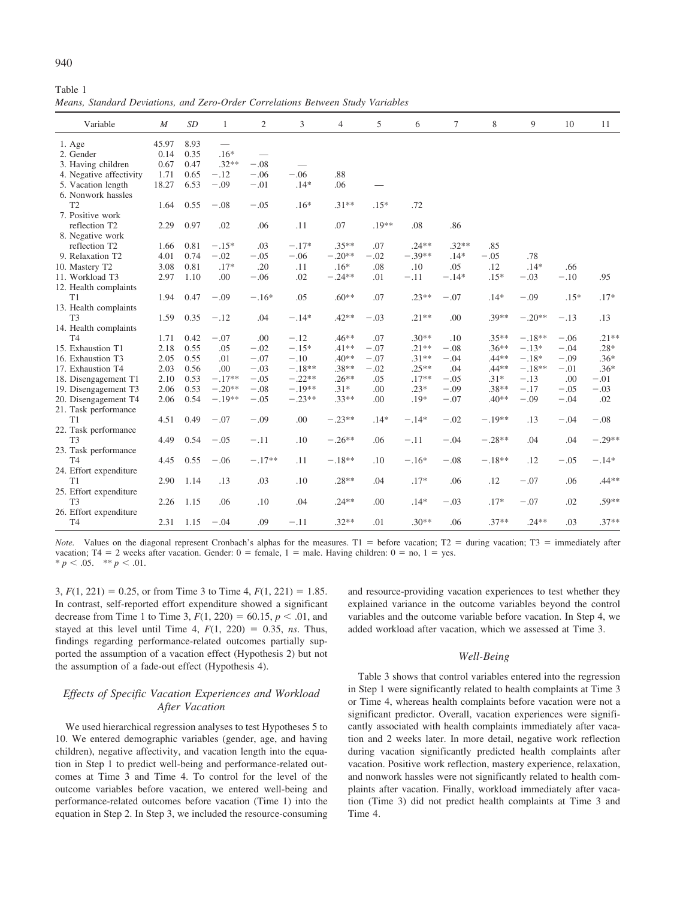| Table 1 |  |  |                                                                                 |  |  |
|---------|--|--|---------------------------------------------------------------------------------|--|--|
|         |  |  | Means, Standard Deviations, and Zero-Order Correlations Between Study Variables |  |  |

| Variable                | $\boldsymbol{M}$ | SD   | $\mathbf{1}$ | 2                 | 3        | $\overline{4}$ | 5       | 6        | 7       | 8        | 9        | 10     | 11       |
|-------------------------|------------------|------|--------------|-------------------|----------|----------------|---------|----------|---------|----------|----------|--------|----------|
| $1. \text{Age}$         | 45.97            | 8.93 |              |                   |          |                |         |          |         |          |          |        |          |
| 2. Gender               | 0.14             | 0.35 | $.16*$       | $\hspace{0.05cm}$ |          |                |         |          |         |          |          |        |          |
| 3. Having children      | 0.67             | 0.47 | $.32**$      | $-.08$            |          |                |         |          |         |          |          |        |          |
| 4. Negative affectivity | 1.71             | 0.65 | $-.12$       | $-.06$            | $-.06$   | .88            |         |          |         |          |          |        |          |
| 5. Vacation length      | 18.27            | 6.53 | $-.09$       | $-.01$            | $.14*$   | .06            |         |          |         |          |          |        |          |
| 6. Nonwork hassles      |                  |      |              |                   |          |                |         |          |         |          |          |        |          |
| T <sub>2</sub>          | 1.64             | 0.55 | $-.08$       | $-.05$            | $.16*$   | $.31**$        | $.15*$  | .72      |         |          |          |        |          |
| 7. Positive work        |                  |      |              |                   |          |                |         |          |         |          |          |        |          |
| reflection T2           | 2.29             | 0.97 | .02          | .06               | .11      | .07            | $.19**$ | .08      | .86     |          |          |        |          |
| 8. Negative work        |                  |      |              |                   |          |                |         |          |         |          |          |        |          |
| reflection T2           | 1.66             | 0.81 | $-.15*$      | .03               | $-.17*$  | $.35**$        | .07     | $.24**$  | $.32**$ | .85      |          |        |          |
| 9. Relaxation T2        | 4.01             | 0.74 | $-.02$       | $-.05$            | $-.06$   | $-.20**$       | $-.02$  | $-.39**$ | $.14*$  | $-.05$   | .78      |        |          |
| 10. Mastery T2          | 3.08             | 0.81 | $.17*$       | .20               | .11      | $.16*$         | .08     | .10      | .05     | .12      | $.14*$   | .66    |          |
| 11. Workload T3         | 2.97             | 1.10 | .00          | $-.06$            | .02      | $-.24**$       | .01     | $-.11$   | $-.14*$ | $.15*$   | $-.03$   | $-.10$ | .95      |
| 12. Health complaints   |                  |      |              |                   |          |                |         |          |         |          |          |        |          |
| T1                      | 1.94             | 0.47 | $-.09$       | $-.16*$           | .05      | $.60**$        | .07     | $.23**$  | $-.07$  | $.14*$   | $-.09$   | $.15*$ | $.17*$   |
| 13. Health complaints   |                  |      |              |                   |          |                |         |          |         |          |          |        |          |
| T3                      | 1.59             | 0.35 | $-.12$       | .04               | $-.14*$  | $.42**$        | $-.03$  | $.21**$  | .00     | $.39**$  | $-.20**$ | $-.13$ | .13      |
| 14. Health complaints   |                  |      |              |                   |          |                |         |          |         |          |          |        |          |
| T <sub>4</sub>          | 1.71             | 0.42 | $-.07$       | .00               | $-.12$   | $.46**$        | .07     | $.30**$  | .10     | $.35**$  | $-.18**$ | $-.06$ | $.21**$  |
| 15. Exhaustion T1       | 2.18             | 0.55 | .05          | $-.02$            | $-.15*$  | $.41**$        | $-.07$  | $.21**$  | $-.08$  | $.36***$ | $-.13*$  | $-.04$ | $.28*$   |
| 16. Exhaustion T3       | 2.05             | 0.55 | .01          | $-.07$            | $-.10$   | $.40**$        | $-.07$  | $.31**$  | $-.04$  | $.44**$  | $-.18*$  | $-.09$ | $.36*$   |
| 17. Exhaustion T4       | 2.03             | 0.56 | .00          | $-.03$            | $-.18**$ | $.38**$        | $-.02$  | $.25**$  | .04     | $.44**$  | $-.18**$ | $-.01$ | $.36*$   |
| 18. Disengagement T1    | 2.10             | 0.53 | $-.17**$     | $-.05$            | $-.22**$ | $.26**$        | .05     | $.17**$  | $-.05$  | $.31*$   | $-.13$   | .00    | $-.01$   |
| 19. Disengagement T3    | 2.06             | 0.53 | $-.20**$     | $-.08$            | $-.19**$ | $.31*$         | .00     | $.23*$   | $-.09$  | $.38**$  | $-.17$   | $-.05$ | $-.03$   |
| 20. Disengagement T4    | 2.06             | 0.54 | $-.19**$     | $-.05$            | $-.23**$ | $.33**$        | .00     | $.19*$   | $-.07$  | $.40**$  | $-.09$   | $-.04$ | .02      |
| 21. Task performance    |                  |      |              |                   |          |                |         |          |         |          |          |        |          |
| T1                      | 4.51             | 0.49 | $-.07$       | $-.09$            | .00      | $-.23**$       | $.14*$  | $-.14*$  | $-.02$  | $-.19**$ | .13      | $-.04$ | $-.08$   |
| 22. Task performance    |                  |      |              |                   |          |                |         |          |         |          |          |        |          |
| T <sub>3</sub>          | 4.49             | 0.54 | $-.05$       | $-.11$            | .10      | $-.26**$       | .06     | $-.11$   | $-.04$  | $-.28**$ | .04      | .04    | $-.29**$ |
| 23. Task performance    |                  |      |              |                   |          |                |         |          |         |          |          |        |          |
| T <sub>4</sub>          | 4.45             | 0.55 | $-.06$       | $-.17**$          | .11      | $-.18**$       | .10     | $-.16*$  | $-.08$  | $-.18**$ | .12      | $-.05$ | $-.14*$  |
| 24. Effort expenditure  |                  |      |              |                   |          |                |         |          |         |          |          |        |          |
| T1                      | 2.90             | 1.14 | .13          | .03               | .10      | $.28**$        | .04     | $.17*$   | .06     | .12      | $-.07$   | .06    | $.44**$  |
| 25. Effort expenditure  |                  |      |              |                   |          |                |         |          |         |          |          |        |          |
| T <sub>3</sub>          | 2.26             | 1.15 | .06          | .10               | .04      | $.24**$        | .00     | $.14*$   | $-.03$  | $.17*$   | $-.07$   | .02    | $.59**$  |
| 26. Effort expenditure  |                  |      |              |                   |          |                |         |          |         |          |          |        |          |
| T <sub>4</sub>          | 2.31             | 1.15 | $-.04$       | .09               | $-.11$   | $.32**$        | .01     | $.30**$  | .06     | $.37**$  | $.24**$  | .03    | $.37**$  |

*Note.* Values on the diagonal represent Cronbach's alphas for the measures. T1 = before vacation; T2 = during vacation; T3 = immediately after vacation; T4 = 2 weeks after vacation. Gender:  $0 =$  female,  $1 =$  male. Having children:  $0 =$  no,  $1 =$  yes.  $* p < .05.$  \*\*  $p < .01.$ 

3,  $F(1, 221) = 0.25$ , or from Time 3 to Time 4,  $F(1, 221) = 1.85$ . In contrast, self-reported effort expenditure showed a significant decrease from Time 1 to Time 3,  $F(1, 220) = 60.15$ ,  $p < .01$ , and stayed at this level until Time 4,  $F(1, 220) = 0.35$ , *ns*. Thus, findings regarding performance-related outcomes partially supported the assumption of a vacation effect (Hypothesis 2) but not the assumption of a fade-out effect (Hypothesis 4).

# *Effects of Specific Vacation Experiences and Workload After Vacation*

We used hierarchical regression analyses to test Hypotheses 5 to 10. We entered demographic variables (gender, age, and having children), negative affectivity, and vacation length into the equation in Step 1 to predict well-being and performance-related outcomes at Time 3 and Time 4. To control for the level of the outcome variables before vacation, we entered well-being and performance-related outcomes before vacation (Time 1) into the equation in Step 2. In Step 3, we included the resource-consuming and resource-providing vacation experiences to test whether they explained variance in the outcome variables beyond the control variables and the outcome variable before vacation. In Step 4, we added workload after vacation, which we assessed at Time 3.

# *Well-Being*

Table 3 shows that control variables entered into the regression in Step 1 were significantly related to health complaints at Time 3 or Time 4, whereas health complaints before vacation were not a significant predictor. Overall, vacation experiences were significantly associated with health complaints immediately after vacation and 2 weeks later. In more detail, negative work reflection during vacation significantly predicted health complaints after vacation. Positive work reflection, mastery experience, relaxation, and nonwork hassles were not significantly related to health complaints after vacation. Finally, workload immediately after vacation (Time 3) did not predict health complaints at Time 3 and Time 4.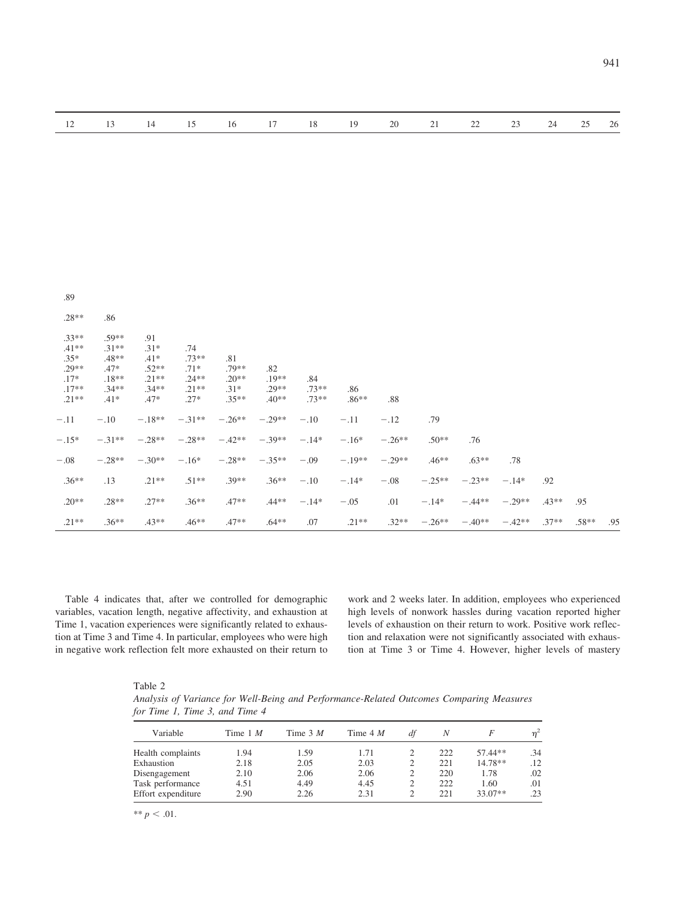| 13 14 |  |  | 18 |  | 20 21 22 23 24 25 26 |  |  |
|-------|--|--|----|--|----------------------|--|--|

.89

| $.28**$ | .86      |          |          |          |          |         |          |          |          |          |          |          |         |     |
|---------|----------|----------|----------|----------|----------|---------|----------|----------|----------|----------|----------|----------|---------|-----|
| $.33**$ | $.59**$  | .91      |          |          |          |         |          |          |          |          |          |          |         |     |
| $.41**$ | $.31**$  | $.31*$   | .74      |          |          |         |          |          |          |          |          |          |         |     |
| $.35*$  | .48**    | .41*     | $.73**$  | .81      |          |         |          |          |          |          |          |          |         |     |
| $.29**$ | $.47*$   | $.52**$  | $.71*$   | .79**    | .82      |         |          |          |          |          |          |          |         |     |
| $.17*$  | $.18**$  | $.21**$  | $.24***$ | $.20**$  | $.19**$  | .84     |          |          |          |          |          |          |         |     |
| $.17**$ | $.34**$  | $.34**$  | $.21**$  | $.31*$   | $.29**$  | $.73**$ | .86      |          |          |          |          |          |         |     |
| $.21**$ | $.41*$   | $.47*$   | $.27*$   | $.35**$  | $.40**$  | $.73**$ | $.86**$  | .88      |          |          |          |          |         |     |
| $-.11$  | $-.10$   | $-.18**$ | $-.31**$ | $-.26**$ | $-.29**$ | $-.10$  | $-.11$   | $-.12$   | .79      |          |          |          |         |     |
| $-.15*$ | $-.31**$ | $-.28**$ | $-.28**$ | $-.42**$ | $-.39**$ | $-.14*$ | $-.16*$  | $-.26**$ | $.50**$  | .76      |          |          |         |     |
| $-.08$  | $-.28**$ | $-.30**$ | $-.16*$  | $-.28**$ | $-.35**$ | $-.09$  | $-.19**$ | $-.29**$ | $.46**$  | $.63**$  | .78      |          |         |     |
| $.36**$ | .13      | $.21**$  | $.51**$  | $.39**$  | $.36**$  | $-.10$  | $-.14*$  | $-.08$   | $-.25**$ | $-.23**$ | $-.14*$  | .92      |         |     |
| $.20**$ | $.28**$  | $.27**$  | $.36**$  | $.47**$  | .44**    | $-.14*$ | $-.05$   | .01      | $-.14*$  | $-.44**$ | $-.29**$ | $.43***$ | .95     |     |
| $.21**$ | $.36**$  | $.43**$  | $.46**$  | .47**    | $.64**$  | .07     | $.21**$  | $.32**$  | $-.26**$ | $-.40**$ | $-.42**$ | $.37**$  | $.58**$ | .95 |

Table 4 indicates that, after we controlled for demographic variables, vacation length, negative affectivity, and exhaustion at Time 1, vacation experiences were significantly related to exhaustion at Time 3 and Time 4. In particular, employees who were high in negative work reflection felt more exhausted on their return to work and 2 weeks later. In addition, employees who experienced high levels of nonwork hassles during vacation reported higher levels of exhaustion on their return to work. Positive work reflection and relaxation were not significantly associated with exhaustion at Time 3 or Time 4. However, higher levels of mastery

Table 2

*Analysis of Variance for Well-Being and Performance-Related Outcomes Comparing Measures for Time 1, Time 3, and Time 4*

| Variable           | Time $1 M$ | Time $3 M$ | Time $4 M$ | N   |           | $n^2$ |
|--------------------|------------|------------|------------|-----|-----------|-------|
| Health complaints  | 1.94       | 1.59       | 1.71       | 222 | 57.44**   | .34   |
| Exhaustion         | 2.18       | 2.05       | 2.03       | 221 | $14.78**$ | .12   |
| Disengagement      | 2.10       | 2.06       | 2.06       | 220 | 1.78      | .02   |
| Task performance   | 4.51       | 4.49       | 4.45       | 222 | 1.60      | .01   |
| Effort expenditure | 2.90       | 2.26       | 2.31       | 221 | $33.07**$ | .23   |

 $*$  *p*  $< .01$ .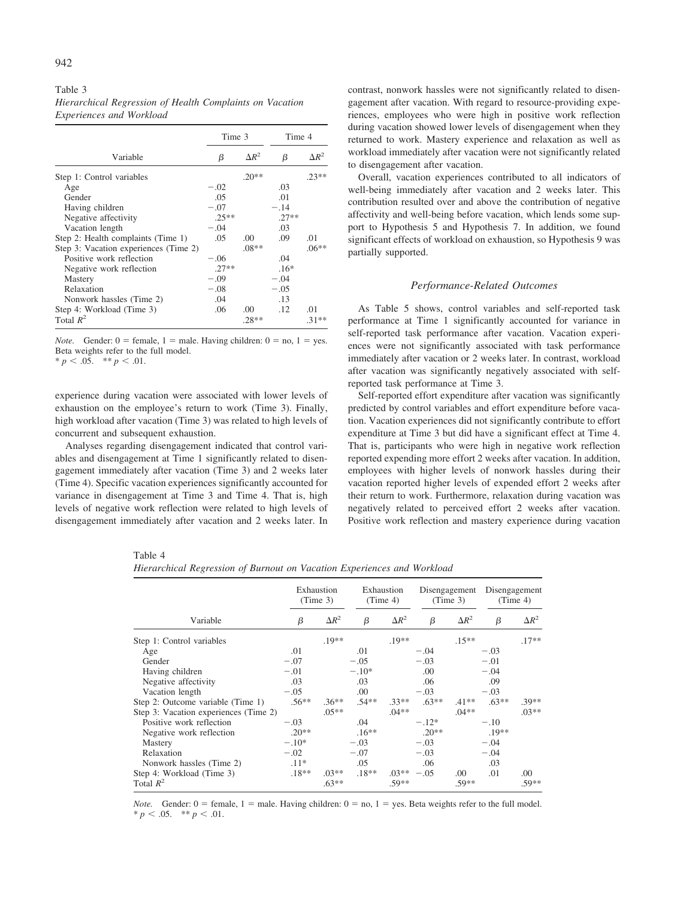# Table 3 *Hierarchical Regression of Health Complaints on Vacation Experiences and Workload*

|                                       | Time 3 |               | Time 4 |              |
|---------------------------------------|--------|---------------|--------|--------------|
| Variable                              | β      | $\Lambda R^2$ | β      | $\Delta R^2$ |
| Step 1: Control variables             |        | $.20**$       |        | $23**$       |
| Age                                   | $-.02$ |               | .03    |              |
| Gender                                | .05    |               | .01    |              |
| Having children                       | $-.07$ |               | $-.14$ |              |
| Negative affectivity                  | $25**$ |               | $27**$ |              |
| Vacation length                       | $-.04$ |               | .03    |              |
| Step 2: Health complaints (Time 1)    | .05    | .00           | .09    | .01          |
| Step 3: Vacation experiences (Time 2) |        | $.08**$       |        | $.06**$      |
| Positive work reflection              | $-.06$ |               | .04    |              |
| Negative work reflection              | $27**$ |               | $.16*$ |              |
| Mastery                               | $-.09$ |               | $-.04$ |              |
| Relaxation                            | $-.08$ |               | $-.05$ |              |
| Nonwork hassles (Time 2)              | .04    |               | .13    |              |
| Step 4: Workload (Time 3)             | .06    | .00.          | .12    | .01          |
| Total $R^2$                           |        | $28**$        |        | $.31**$      |

*Note.* Gender:  $0 = \text{female}, 1 = \text{male}$ . Having children:  $0 = \text{no}, 1 = \text{yes}$ . Beta weights refer to the full model.  $* p < .05.$  \*\*  $p < .01.$ 

experience during vacation were associated with lower levels of exhaustion on the employee's return to work (Time 3). Finally, high workload after vacation (Time 3) was related to high levels of concurrent and subsequent exhaustion.

Analyses regarding disengagement indicated that control variables and disengagement at Time 1 significantly related to disengagement immediately after vacation (Time 3) and 2 weeks later (Time 4). Specific vacation experiences significantly accounted for variance in disengagement at Time 3 and Time 4. That is, high levels of negative work reflection were related to high levels of disengagement immediately after vacation and 2 weeks later. In contrast, nonwork hassles were not significantly related to disengagement after vacation. With regard to resource-providing experiences, employees who were high in positive work reflection during vacation showed lower levels of disengagement when they returned to work. Mastery experience and relaxation as well as workload immediately after vacation were not significantly related to disengagement after vacation.

Overall, vacation experiences contributed to all indicators of well-being immediately after vacation and 2 weeks later. This contribution resulted over and above the contribution of negative affectivity and well-being before vacation, which lends some support to Hypothesis 5 and Hypothesis 7. In addition, we found significant effects of workload on exhaustion, so Hypothesis 9 was partially supported.

## *Performance-Related Outcomes*

As Table 5 shows, control variables and self-reported task performance at Time 1 significantly accounted for variance in self-reported task performance after vacation. Vacation experiences were not significantly associated with task performance immediately after vacation or 2 weeks later. In contrast, workload after vacation was significantly negatively associated with selfreported task performance at Time 3.

Self-reported effort expenditure after vacation was significantly predicted by control variables and effort expenditure before vacation. Vacation experiences did not significantly contribute to effort expenditure at Time 3 but did have a significant effect at Time 4. That is, participants who were high in negative work reflection reported expending more effort 2 weeks after vacation. In addition, employees with higher levels of nonwork hassles during their vacation reported higher levels of expended effort 2 weeks after their return to work. Furthermore, relaxation during vacation was negatively related to perceived effort 2 weeks after vacation. Positive work reflection and mastery experience during vacation

|--|--|--|--|--|

*Hierarchical Regression of Burnout on Vacation Experiences and Workload*

|                                       |          | Exhaustion<br>(Time 3) | Exhaustion<br>(Time 4) |               |         | Disengagement<br>(Time 3) | Disengagement | (Time 4)     |
|---------------------------------------|----------|------------------------|------------------------|---------------|---------|---------------------------|---------------|--------------|
| Variable                              | β        | $\Delta R^2$           | β                      | $\Delta R^2$  | β       | $\Delta R^2$              | β             | $\Delta R^2$ |
| Step 1: Control variables             |          | $.19**$                |                        | $.19**$       |         | $.15***$                  |               | $.17**$      |
| Age                                   | .01      |                        | .01                    |               | $-.04$  |                           | $-.03$        |              |
| Gender                                | $-.07$   |                        | $-.05$                 |               | $-.03$  |                           | $-.01$        |              |
| Having children                       | $-.01$   |                        | $-.10*$                |               | .00     |                           | $-.04$        |              |
| Negative affectivity                  | .03      |                        | .03                    |               | .06     |                           | .09           |              |
| Vacation length                       | $-.05$   |                        | .00                    |               | $-.03$  |                           | $-.03$        |              |
| Step 2: Outcome variable (Time 1)     | $.56***$ | $.36**$                | $.54**$                | $.33**$       | $.63**$ | $.41**$                   | $.63**$       | $.39**$      |
| Step 3: Vacation experiences (Time 2) |          | $.05**$                |                        | $.04**$       |         | $.04**$                   |               | $.03**$      |
| Positive work reflection              | $-.03$   |                        | .04                    |               | $-.12*$ |                           | $-.10$        |              |
| Negative work reflection              | $.20**$  |                        | $.16**$                |               | $.20**$ |                           | $.19**$       |              |
| Mastery                               | $-.10*$  |                        | $-.03$                 |               | $-.03$  |                           | $-.04$        |              |
| Relaxation                            | $-.02$   |                        | $-.07$                 |               | $-.03$  |                           | $-.04$        |              |
| Nonwork hassles (Time 2)              | $.11*$   |                        | .05                    |               | .06     |                           | .03           |              |
| Step 4: Workload (Time 3)             | $.18**$  | $.03**$                | $.18**$                | $.03*** -.05$ |         | .00                       | .01           | .00          |
| Total $R^2$                           |          | $.63**$                |                        | $.59**$       |         | .59**                     |               | .59**        |

*Note.* Gender:  $0 =$  female,  $1 =$  male. Having children:  $0 =$  no,  $1 =$  yes. Beta weights refer to the full model.  $* p < .05.$  \*\*  $p < .01.$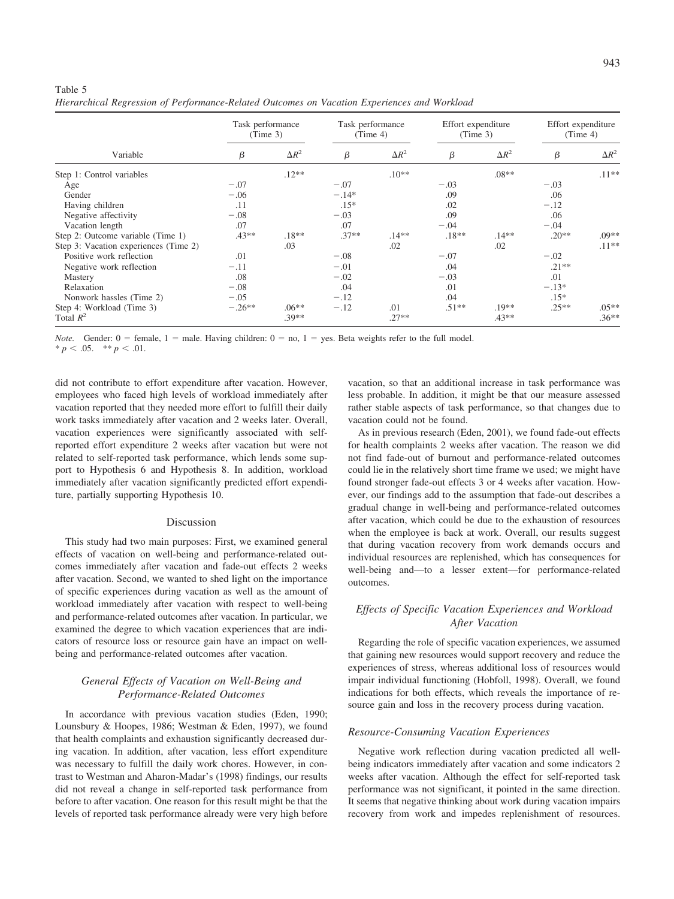| Table 5                                                                                      |  |  |  |  |  |
|----------------------------------------------------------------------------------------------|--|--|--|--|--|
| Hierarchical Regression of Performance-Related Outcomes on Vacation Experiences and Workload |  |  |  |  |  |

|                                       | Task performance<br>(Time 3) |              | Task performance<br>(Time 4) |              | Effort expenditure<br>(Time 3) |              | Effort expenditure<br>(Time 4) |              |
|---------------------------------------|------------------------------|--------------|------------------------------|--------------|--------------------------------|--------------|--------------------------------|--------------|
| Variable                              | β                            | $\Delta R^2$ | β                            | $\Delta R^2$ | β                              | $\Delta R^2$ | β                              | $\Delta R^2$ |
| Step 1: Control variables             |                              | $.12**$      |                              | $.10**$      |                                | $.08**$      |                                | $.11**$      |
| Age                                   | $-.07$                       |              | $-.07$                       |              | $-.03$                         |              | $-.03$                         |              |
| Gender                                | $-.06$                       |              | $-.14*$                      |              | .09                            |              | .06                            |              |
| Having children                       | .11                          |              | $.15*$                       |              | .02                            |              | $-.12$                         |              |
| Negative affectivity                  | $-.08$                       |              | $-.03$                       |              | .09                            |              | .06                            |              |
| Vacation length                       | .07                          |              | .07                          |              | $-.04$                         |              | $-.04$                         |              |
| Step 2: Outcome variable (Time 1)     | $.43**$                      | $.18**$      | $.37**$                      | $.14**$      | $.18**$                        | $.14**$      | $.20**$                        | $.09**$      |
| Step 3: Vacation experiences (Time 2) |                              | .03          |                              | .02          |                                | .02          |                                | $.11**$      |
| Positive work reflection              | .01                          |              | $-.08$                       |              | $-.07$                         |              | $-.02$                         |              |
| Negative work reflection              | $-.11$                       |              | $-.01$                       |              | .04                            |              | $.21**$                        |              |
| Mastery                               | .08                          |              | $-.02$                       |              | $-.03$                         |              | .01                            |              |
| Relaxation                            | $-.08$                       |              | .04                          |              | .01                            |              | $-.13*$                        |              |
| Nonwork hassles (Time 2)              | $-.05$                       |              | $-.12$                       |              | .04                            |              | $.15*$                         |              |
| Step 4: Workload (Time 3)             | $-.26**$                     | $.06**$      | $-.12$                       | .01          | $.51**$                        | $.19**$      | $.25**$                        | $.05**$      |
| Total $R^2$                           |                              | .39**        |                              | $.27**$      |                                | $.43**$      |                                | $.36**$      |

*Note.* Gender:  $0 =$  female,  $1 =$  male. Having children:  $0 =$  no,  $1 =$  yes. Beta weights refer to the full model.  $* p < .05.$  \*\*  $p < .01.$ 

did not contribute to effort expenditure after vacation. However, employees who faced high levels of workload immediately after vacation reported that they needed more effort to fulfill their daily work tasks immediately after vacation and 2 weeks later. Overall, vacation experiences were significantly associated with selfreported effort expenditure 2 weeks after vacation but were not related to self-reported task performance, which lends some support to Hypothesis 6 and Hypothesis 8. In addition, workload immediately after vacation significantly predicted effort expenditure, partially supporting Hypothesis 10.

#### Discussion

This study had two main purposes: First, we examined general effects of vacation on well-being and performance-related outcomes immediately after vacation and fade-out effects 2 weeks after vacation. Second, we wanted to shed light on the importance of specific experiences during vacation as well as the amount of workload immediately after vacation with respect to well-being and performance-related outcomes after vacation. In particular, we examined the degree to which vacation experiences that are indicators of resource loss or resource gain have an impact on wellbeing and performance-related outcomes after vacation.

# *General Effects of Vacation on Well-Being and Performance-Related Outcomes*

In accordance with previous vacation studies (Eden, 1990; Lounsbury & Hoopes, 1986; Westman & Eden, 1997), we found that health complaints and exhaustion significantly decreased during vacation. In addition, after vacation, less effort expenditure was necessary to fulfill the daily work chores. However, in contrast to Westman and Aharon-Madar's (1998) findings, our results did not reveal a change in self-reported task performance from before to after vacation. One reason for this result might be that the levels of reported task performance already were very high before vacation, so that an additional increase in task performance was less probable. In addition, it might be that our measure assessed rather stable aspects of task performance, so that changes due to vacation could not be found.

As in previous research (Eden, 2001), we found fade-out effects for health complaints 2 weeks after vacation. The reason we did not find fade-out of burnout and performance-related outcomes could lie in the relatively short time frame we used; we might have found stronger fade-out effects 3 or 4 weeks after vacation. However, our findings add to the assumption that fade-out describes a gradual change in well-being and performance-related outcomes after vacation, which could be due to the exhaustion of resources when the employee is back at work. Overall, our results suggest that during vacation recovery from work demands occurs and individual resources are replenished, which has consequences for well-being and—to a lesser extent—for performance-related outcomes.

# *Effects of Specific Vacation Experiences and Workload After Vacation*

Regarding the role of specific vacation experiences, we assumed that gaining new resources would support recovery and reduce the experiences of stress, whereas additional loss of resources would impair individual functioning (Hobfoll, 1998). Overall, we found indications for both effects, which reveals the importance of resource gain and loss in the recovery process during vacation.

# *Resource-Consuming Vacation Experiences*

Negative work reflection during vacation predicted all wellbeing indicators immediately after vacation and some indicators 2 weeks after vacation. Although the effect for self-reported task performance was not significant, it pointed in the same direction. It seems that negative thinking about work during vacation impairs recovery from work and impedes replenishment of resources.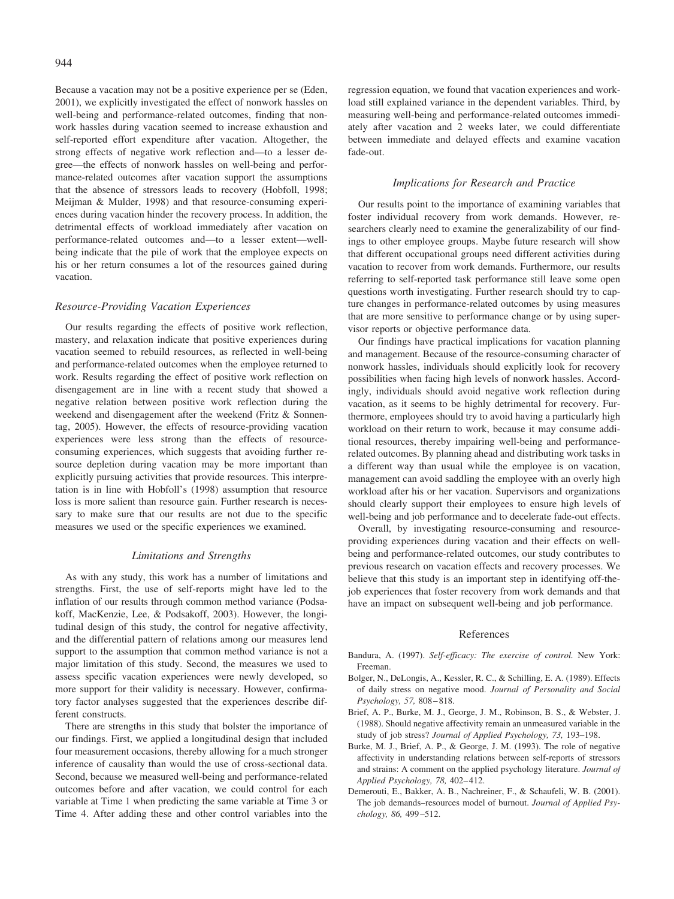Because a vacation may not be a positive experience per se (Eden, 2001), we explicitly investigated the effect of nonwork hassles on well-being and performance-related outcomes, finding that nonwork hassles during vacation seemed to increase exhaustion and self-reported effort expenditure after vacation. Altogether, the strong effects of negative work reflection and—to a lesser degree—the effects of nonwork hassles on well-being and performance-related outcomes after vacation support the assumptions that the absence of stressors leads to recovery (Hobfoll, 1998; Meijman & Mulder, 1998) and that resource-consuming experiences during vacation hinder the recovery process. In addition, the detrimental effects of workload immediately after vacation on performance-related outcomes and—to a lesser extent—wellbeing indicate that the pile of work that the employee expects on his or her return consumes a lot of the resources gained during vacation.

## *Resource-Providing Vacation Experiences*

Our results regarding the effects of positive work reflection, mastery, and relaxation indicate that positive experiences during vacation seemed to rebuild resources, as reflected in well-being and performance-related outcomes when the employee returned to work. Results regarding the effect of positive work reflection on disengagement are in line with a recent study that showed a negative relation between positive work reflection during the weekend and disengagement after the weekend (Fritz & Sonnentag, 2005). However, the effects of resource-providing vacation experiences were less strong than the effects of resourceconsuming experiences, which suggests that avoiding further resource depletion during vacation may be more important than explicitly pursuing activities that provide resources. This interpretation is in line with Hobfoll's (1998) assumption that resource loss is more salient than resource gain. Further research is necessary to make sure that our results are not due to the specific measures we used or the specific experiences we examined.

## *Limitations and Strengths*

As with any study, this work has a number of limitations and strengths. First, the use of self-reports might have led to the inflation of our results through common method variance (Podsakoff, MacKenzie, Lee, & Podsakoff, 2003). However, the longitudinal design of this study, the control for negative affectivity, and the differential pattern of relations among our measures lend support to the assumption that common method variance is not a major limitation of this study. Second, the measures we used to assess specific vacation experiences were newly developed, so more support for their validity is necessary. However, confirmatory factor analyses suggested that the experiences describe different constructs.

There are strengths in this study that bolster the importance of our findings. First, we applied a longitudinal design that included four measurement occasions, thereby allowing for a much stronger inference of causality than would the use of cross-sectional data. Second, because we measured well-being and performance-related outcomes before and after vacation, we could control for each variable at Time 1 when predicting the same variable at Time 3 or Time 4. After adding these and other control variables into the

regression equation, we found that vacation experiences and workload still explained variance in the dependent variables. Third, by measuring well-being and performance-related outcomes immediately after vacation and 2 weeks later, we could differentiate between immediate and delayed effects and examine vacation fade-out.

## *Implications for Research and Practice*

Our results point to the importance of examining variables that foster individual recovery from work demands. However, researchers clearly need to examine the generalizability of our findings to other employee groups. Maybe future research will show that different occupational groups need different activities during vacation to recover from work demands. Furthermore, our results referring to self-reported task performance still leave some open questions worth investigating. Further research should try to capture changes in performance-related outcomes by using measures that are more sensitive to performance change or by using supervisor reports or objective performance data.

Our findings have practical implications for vacation planning and management. Because of the resource-consuming character of nonwork hassles, individuals should explicitly look for recovery possibilities when facing high levels of nonwork hassles. Accordingly, individuals should avoid negative work reflection during vacation, as it seems to be highly detrimental for recovery. Furthermore, employees should try to avoid having a particularly high workload on their return to work, because it may consume additional resources, thereby impairing well-being and performancerelated outcomes. By planning ahead and distributing work tasks in a different way than usual while the employee is on vacation, management can avoid saddling the employee with an overly high workload after his or her vacation. Supervisors and organizations should clearly support their employees to ensure high levels of well-being and job performance and to decelerate fade-out effects.

Overall, by investigating resource-consuming and resourceproviding experiences during vacation and their effects on wellbeing and performance-related outcomes, our study contributes to previous research on vacation effects and recovery processes. We believe that this study is an important step in identifying off-thejob experiences that foster recovery from work demands and that have an impact on subsequent well-being and job performance.

#### References

- Bandura, A. (1997). *Self-efficacy: The exercise of control.* New York: Freeman.
- Bolger, N., DeLongis, A., Kessler, R. C., & Schilling, E. A. (1989). Effects of daily stress on negative mood. *Journal of Personality and Social Psychology, 57,* 808 – 818.
- Brief, A. P., Burke, M. J., George, J. M., Robinson, B. S., & Webster, J. (1988). Should negative affectivity remain an unmeasured variable in the study of job stress? *Journal of Applied Psychology, 73,* 193–198.
- Burke, M. J., Brief, A. P., & George, J. M. (1993). The role of negative affectivity in understanding relations between self-reports of stressors and strains: A comment on the applied psychology literature. *Journal of Applied Psychology, 78,* 402– 412.
- Demerouti, E., Bakker, A. B., Nachreiner, F., & Schaufeli, W. B. (2001). The job demands–resources model of burnout. *Journal of Applied Psychology, 86,* 499 –512.